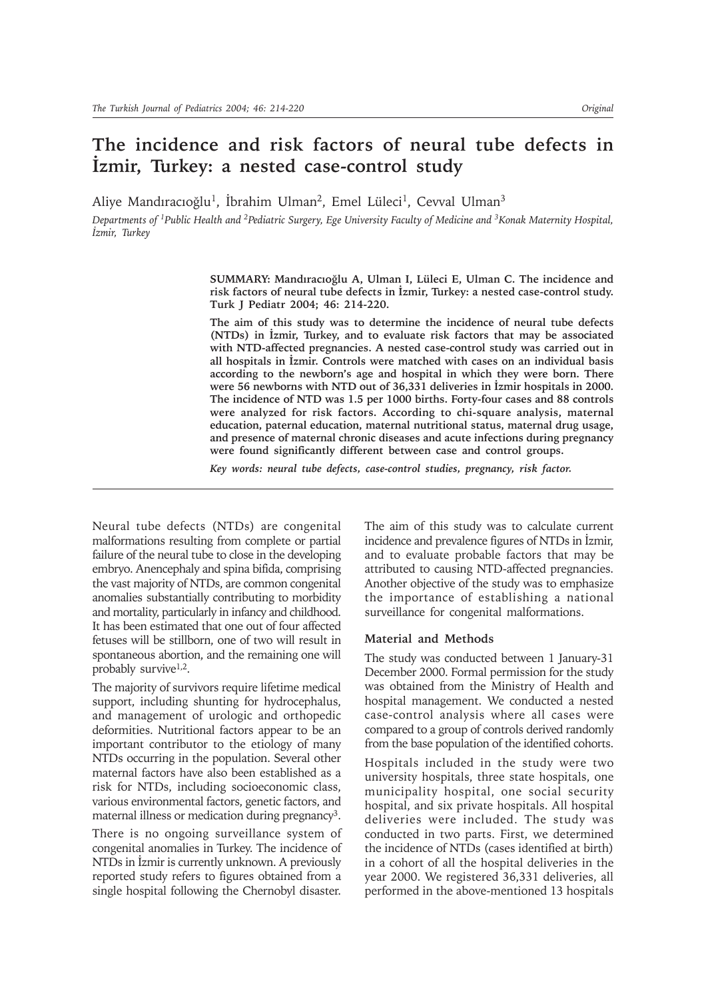# **The incidence and risk factors of neural tube defects in İzmir, Turkey: a nested case-control study**

Aliye Mandıracıoğlu<sup>1</sup>, İbrahim Ulman<sup>2</sup>, Emel Lüleci<sup>1</sup>, Cevval Ulman<sup>3</sup>

*Departments of 1Public Health and 2Pediatric Surgery, Ege University Faculty of Medicine and 3Konak Maternity Hospital, Ýzmir, Turkey*

> SUMMARY: Mandıracıoğlu A, Ulman I, Lüleci E, Ulman C. The incidence and risk factors of neural tube defects in *Izmir*, Turkey: a nested case-control study. **Turk J Pediatr 2004; 46: 214-220.**

> **The aim of this study was to determine the incidence of neural tube defects (NTDs)** in *Izmir*, Turkey, and to evaluate risk factors that may be associated **with NTD-affected pregnancies. A nested case-control study was carried out in** all hospitals in *İzmir*. Controls were matched with cases on an individual basis **according to the newborn's age and hospital in which they were born. There** were 56 newborns with NTD out of 36,331 deliveries in *İzmir* hospitals in 2000. **The incidence of NTD was 1.5 per 1000 births. Forty-four cases and 88 controls were analyzed for risk factors. According to chi-square analysis, maternal education, paternal education, maternal nutritional status, maternal drug usage, and presence of maternal chronic diseases and acute infections during pregnancy were found significantly different between case and control groups.**

*Key words: neural tube defects, case-control studies, pregnancy, risk factor.*

Neural tube defects (NTDs) are congenital malformations resulting from complete or partial failure of the neural tube to close in the developing embryo. Anencephaly and spina bifida, comprising the vast majority of NTDs, are common congenital anomalies substantially contributing to morbidity and mortality, particularly in infancy and childhood. It has been estimated that one out of four affected fetuses will be stillborn, one of two will result in spontaneous abortion, and the remaining one will probably survive<sup>1,2</sup>.

The majority of survivors require lifetime medical support, including shunting for hydrocephalus, and management of urologic and orthopedic deformities. Nutritional factors appear to be an important contributor to the etiology of many NTDs occurring in the population. Several other maternal factors have also been established as a risk for NTDs, including socioeconomic class, various environmental factors, genetic factors, and maternal illness or medication during pregnancy<sup>3</sup>.

There is no ongoing surveillance system of congenital anomalies in Turkey. The incidence of NTDs in İzmir is currently unknown. A previously reported study refers to figures obtained from a single hospital following the Chernobyl disaster.

The aim of this study was to calculate current incidence and prevalence figures of NTDs in İzmir, and to evaluate probable factors that may be attributed to causing NTD-affected pregnancies. Another objective of the study was to emphasize the importance of establishing a national surveillance for congenital malformations.

### **Material and Methods**

The study was conducted between 1 January-31 December 2000. Formal permission for the study was obtained from the Ministry of Health and hospital management. We conducted a nested case-control analysis where all cases were compared to a group of controls derived randomly from the base population of the identified cohorts.

Hospitals included in the study were two university hospitals, three state hospitals, one municipality hospital, one social security hospital, and six private hospitals. All hospital deliveries were included. The study was conducted in two parts. First, we determined the incidence of NTDs (cases identified at birth) in a cohort of all the hospital deliveries in the year 2000. We registered 36,331 deliveries, all performed in the above-mentioned 13 hospitals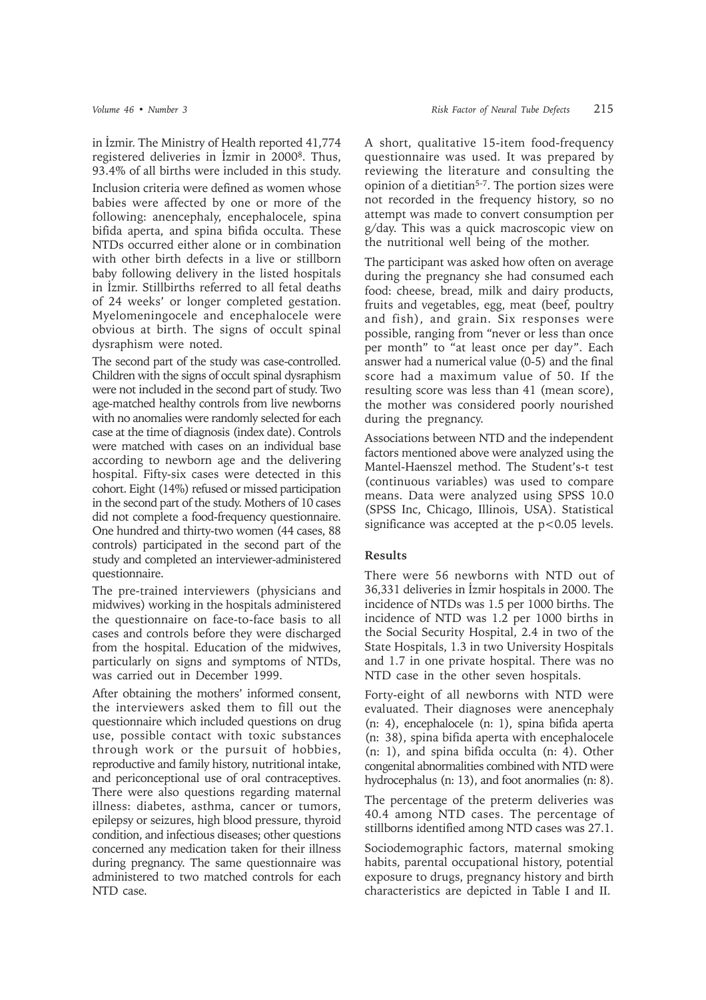in İzmir. The Ministry of Health reported 41,774 registered deliveries in *İzmir* in 2000<sup>8</sup>. Thus, 93.4% of all births were included in this study. Inclusion criteria were defined as women whose babies were affected by one or more of the following: anencephaly, encephalocele, spina bifida aperta, and spina bifida occulta. These NTDs occurred either alone or in combination with other birth defects in a live or stillborn baby following delivery in the listed hospitals in İzmir. Stillbirths referred to all fetal deaths of 24 weeks' or longer completed gestation. Myelomeningocele and encephalocele were obvious at birth. The signs of occult spinal dysraphism were noted.

The second part of the study was case-controlled. Children with the signs of occult spinal dysraphism were not included in the second part of study. Two age-matched healthy controls from live newborns with no anomalies were randomly selected for each case at the time of diagnosis (index date). Controls were matched with cases on an individual base according to newborn age and the delivering hospital. Fifty-six cases were detected in this cohort. Eight (14%) refused or missed participation in the second part of the study. Mothers of 10 cases did not complete a food-frequency questionnaire. One hundred and thirty-two women (44 cases, 88 controls) participated in the second part of the study and completed an interviewer-administered questionnaire.

The pre-trained interviewers (physicians and midwives) working in the hospitals administered the questionnaire on face-to-face basis to all cases and controls before they were discharged from the hospital. Education of the midwives, particularly on signs and symptoms of NTDs, was carried out in December 1999.

After obtaining the mothers' informed consent, the interviewers asked them to fill out the questionnaire which included questions on drug use, possible contact with toxic substances through work or the pursuit of hobbies, reproductive and family history, nutritional intake, and periconceptional use of oral contraceptives. There were also questions regarding maternal illness: diabetes, asthma, cancer or tumors, epilepsy or seizures, high blood pressure, thyroid condition, and infectious diseases; other questions concerned any medication taken for their illness during pregnancy. The same questionnaire was administered to two matched controls for each NTD case.

A short, qualitative 15-item food-frequency questionnaire was used. It was prepared by reviewing the literature and consulting the opinion of a dietitian<sup>5-7</sup>. The portion sizes were not recorded in the frequency history, so no attempt was made to convert consumption per g/day. This was a quick macroscopic view on the nutritional well being of the mother.

The participant was asked how often on average during the pregnancy she had consumed each food: cheese, bread, milk and dairy products, fruits and vegetables, egg, meat (beef, poultry and fish), and grain. Six responses were possible, ranging from "never or less than once per month" to "at least once per day". Each answer had a numerical value (0-5) and the final score had a maximum value of 50. If the resulting score was less than 41 (mean score), the mother was considered poorly nourished during the pregnancy.

Associations between NTD and the independent factors mentioned above were analyzed using the Mantel-Haenszel method. The Student's-t test (continuous variables) was used to compare means. Data were analyzed using SPSS 10.0 (SPSS Inc, Chicago, Illinois, USA). Statistical significance was accepted at the  $p<0.05$  levels.

# **Results**

There were 56 newborns with NTD out of 36,331 deliveries in İzmir hospitals in 2000. The incidence of NTDs was 1.5 per 1000 births. The incidence of NTD was 1.2 per 1000 births in the Social Security Hospital, 2.4 in two of the State Hospitals, 1.3 in two University Hospitals and 1.7 in one private hospital. There was no NTD case in the other seven hospitals.

Forty-eight of all newborns with NTD were evaluated. Their diagnoses were anencephaly (n: 4), encephalocele (n: 1), spina bifida aperta (n: 38), spina bifida aperta with encephalocele (n: 1), and spina bifida occulta (n: 4). Other congenital abnormalities combined with NTD were hydrocephalus (n: 13), and foot anormalies (n: 8).

The percentage of the preterm deliveries was 40.4 among NTD cases. The percentage of stillborns identified among NTD cases was 27.1.

Sociodemographic factors, maternal smoking habits, parental occupational history, potential exposure to drugs, pregnancy history and birth characteristics are depicted in Table I and II.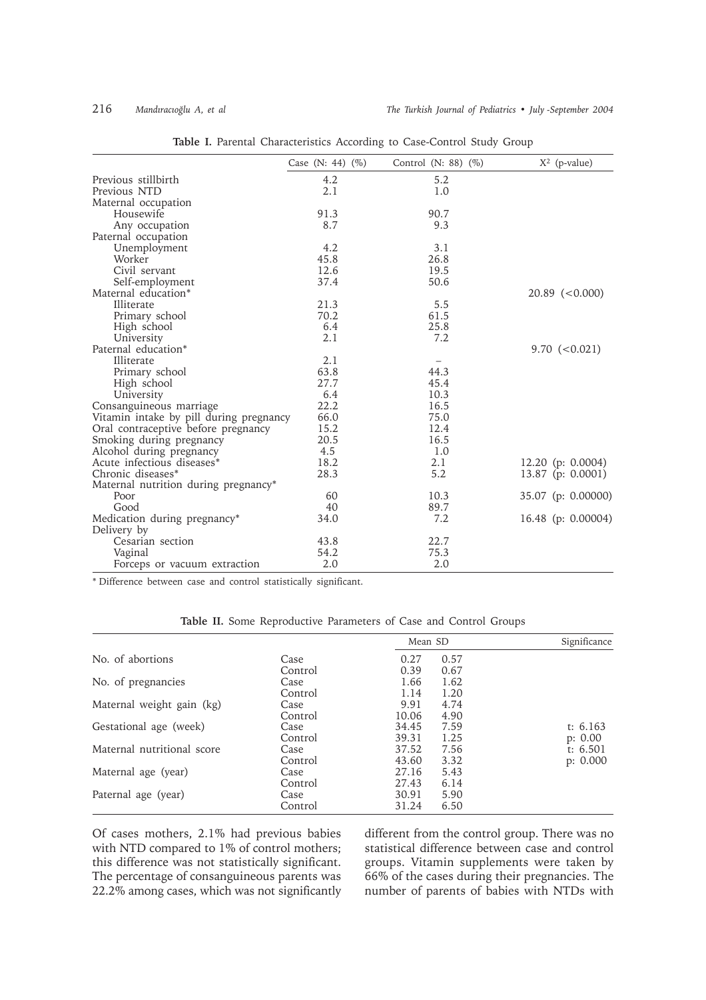|                                         | Case (N: 44) $(\% )$ | Control (N: 88) $(\%)$ | $X^2$ (p-value)      |
|-----------------------------------------|----------------------|------------------------|----------------------|
| Previous stillbirth                     | 4.2                  | 5.2                    |                      |
| Previous NTD                            | 2.1                  | 1.0                    |                      |
| Maternal occupation                     |                      |                        |                      |
| Housewife                               | 91.3                 | 90.7                   |                      |
| Any occupation                          | 8.7                  | 9.3                    |                      |
| Paternal occupation                     |                      |                        |                      |
| Unemployment                            | 4.2                  | 3.1                    |                      |
| Worker                                  | 45.8                 | 26.8                   |                      |
| Civil servant                           | 12.6                 | 19.5                   |                      |
| Self-employment                         | 37.4                 | 50.6                   |                      |
| Maternal education*                     |                      |                        | $20.89$ (<0.000)     |
| Illiterate                              | 21.3                 | 5.5                    |                      |
| Primary school                          | 70.2                 | 61.5                   |                      |
| High school                             | 6.4                  | 25.8                   |                      |
| University                              | 2.1                  | 7.2                    |                      |
| Paternal education*                     |                      |                        | $9.70 \le 0.021$     |
| Illiterate                              | 2.1                  |                        |                      |
| Primary school                          | 63.8                 | 44.3                   |                      |
| High school                             | 27.7                 | 45.4                   |                      |
| University                              | 6.4                  | 10.3                   |                      |
| Consanguineous marriage                 | 22.2                 | 16.5                   |                      |
| Vitamin intake by pill during pregnancy | 66.0                 | 75.0                   |                      |
| Oral contraceptive before pregnancy     | 15.2                 | 12.4                   |                      |
| Smoking during pregnancy                | 20.5                 | 16.5                   |                      |
| Alcohol during pregnancy                | 4.5                  | 1.0                    |                      |
| Acute infectious diseases*              | 18.2                 | 2.1                    | 12.20 (p: $0.0004$ ) |
| Chronic diseases*                       | 28.3                 | 5.2                    | 13.87 (p: $0.0001$ ) |
| Maternal nutrition during pregnancy*    |                      |                        |                      |
| Poor                                    | 60                   | 10.3                   | 35.07 (p: 0.00000)   |
| Good                                    | 40                   | 89.7                   |                      |
| Medication during pregnancy*            | 34.0                 | 7.2                    | 16.48 (p: 0.00004)   |
| Delivery by                             |                      |                        |                      |
| Cesarian section                        | 43.8                 | 22.7                   |                      |
| Vaginal                                 | 54.2                 | 75.3                   |                      |
| Forceps or vacuum extraction            | 2.0                  | 2.0                    |                      |

**Table I.** Parental Characteristics According to Case-Control Study Group

\* Difference between case and control statistically significant.

|                            |                 | Mean SD        |              | Significance          |
|----------------------------|-----------------|----------------|--------------|-----------------------|
| No. of abortions           | Case<br>Control | 0.27<br>0.39   | 0.57<br>0.67 |                       |
| No. of pregnancies         | Case<br>Control | 1.66<br>1.14   | 1.62<br>1.20 |                       |
| Maternal weight gain (kg)  | Case            | 9.91           | 4.74         |                       |
| Gestational age (week)     | Control<br>Case | 10.06<br>34.45 | 4.90<br>7.59 | t: $6.163$            |
| Maternal nutritional score | Control<br>Case | 39.31<br>37.52 | 1.25<br>7.56 | p: 0.00<br>t: $6.501$ |
| Maternal age (year)        | Control<br>Case | 43.60<br>27.16 | 3.32<br>5.43 | p: 0.000              |
| Paternal age (year)        | Control<br>Case | 27.43<br>30.91 | 6.14<br>5.90 |                       |
|                            | Control         | 31.24          | 6.50         |                       |

**Table II.** Some Reproductive Parameters of Case and Control Groups

Of cases mothers, 2.1% had previous babies with NTD compared to 1% of control mothers; this difference was not statistically significant. The percentage of consanguineous parents was 22.2% among cases, which was not significantly different from the control group. There was no statistical difference between case and control groups. Vitamin supplements were taken by 66% of the cases during their pregnancies. The number of parents of babies with NTDs with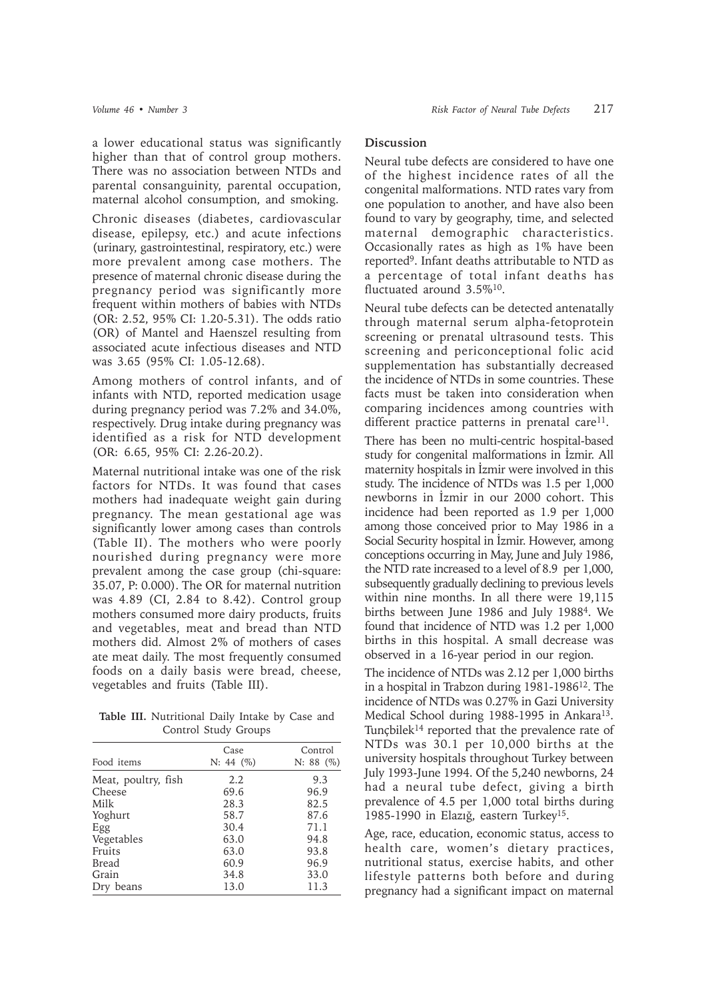a lower educational status was significantly higher than that of control group mothers. There was no association between NTDs and parental consanguinity, parental occupation, maternal alcohol consumption, and smoking.

Chronic diseases (diabetes, cardiovascular disease, epilepsy, etc.) and acute infections (urinary, gastrointestinal, respiratory, etc.) were more prevalent among case mothers. The presence of maternal chronic disease during the pregnancy period was significantly more frequent within mothers of babies with NTDs (OR: 2.52, 95% CI: 1.20-5.31). The odds ratio (OR) of Mantel and Haenszel resulting from associated acute infectious diseases and NTD was 3.65 (95% CI: 1.05-12.68).

Among mothers of control infants, and of infants with NTD, reported medication usage during pregnancy period was 7.2% and 34.0%, respectively. Drug intake during pregnancy was identified as a risk for NTD development (OR: 6.65, 95% CI: 2.26-20.2).

Maternal nutritional intake was one of the risk factors for NTDs. It was found that cases mothers had inadequate weight gain during pregnancy. The mean gestational age was significantly lower among cases than controls (Table II). The mothers who were poorly nourished during pregnancy were more prevalent among the case group (chi-square: 35.07, P: 0.000). The OR for maternal nutrition was 4.89 (CI, 2.84 to 8.42). Control group mothers consumed more dairy products, fruits and vegetables, meat and bread than NTD mothers did. Almost 2% of mothers of cases ate meat daily. The most frequently consumed foods on a daily basis were bread, cheese, vegetables and fruits (Table III).

**Table III.** Nutritional Daily Intake by Case and Control Study Groups

|                     | Case          | Control   |
|---------------------|---------------|-----------|
| Food items          | $N: 44 \ (%)$ | N: 88 (%) |
| Meat, poultry, fish | 2.2           | 9.3       |
| Cheese              | 69.6          | 96.9      |
| Milk                | 28.3          | 82.5      |
| Yoghurt             | 58.7          | 87.6      |
| Egg                 | 30.4          | 71.1      |
| Vegetables          | 63.0          | 94.8      |
| Fruits              | 63.0          | 93.8      |
| Bread               | 60.9          | 96.9      |
| Grain               | 34.8          | 33.0      |
| Dry beans           | 13.0          | 11.3      |
|                     |               |           |

## **Discussion**

Neural tube defects are considered to have one of the highest incidence rates of all the congenital malformations. NTD rates vary from one population to another, and have also been found to vary by geography, time, and selected maternal demographic characteristics. Occasionally rates as high as 1% have been reported9. Infant deaths attributable to NTD as a percentage of total infant deaths has fluctuated around 3.5%10.

Neural tube defects can be detected antenatally through maternal serum alpha-fetoprotein screening or prenatal ultrasound tests. This screening and periconceptional folic acid supplementation has substantially decreased the incidence of NTDs in some countries. These facts must be taken into consideration when comparing incidences among countries with different practice patterns in prenatal care $11$ .

There has been no multi-centric hospital-based study for congenital malformations in *İzmir*. All maternity hospitals in Izmir were involved in this study. The incidence of NTDs was 1.5 per 1,000 newborns in İzmir in our 2000 cohort. This incidence had been reported as 1.9 per 1,000 among those conceived prior to May 1986 in a Social Security hospital in İzmir. However, among conceptions occurring in May, June and July 1986, the NTD rate increased to a level of 8.9 per 1,000, subsequently gradually declining to previous levels within nine months. In all there were 19,115 births between June 1986 and July 19884. We found that incidence of NTD was 1.2 per 1,000 births in this hospital. A small decrease was observed in a 16-year period in our region.

The incidence of NTDs was 2.12 per 1,000 births in a hospital in Trabzon during 1981-198612. The incidence of NTDs was 0.27% in Gazi University Medical School during 1988-1995 in Ankara<sup>13</sup>. Tuncbilek<sup>14</sup> reported that the prevalence rate of NTDs was 30.1 per 10,000 births at the university hospitals throughout Turkey between July 1993-June 1994. Of the 5,240 newborns, 24 had a neural tube defect, giving a birth prevalence of 4.5 per 1,000 total births during 1985-1990 in Elazığ, eastern Turkey<sup>15</sup>.

Age, race, education, economic status, access to health care, women's dietary practices, nutritional status, exercise habits, and other lifestyle patterns both before and during pregnancy had a significant impact on maternal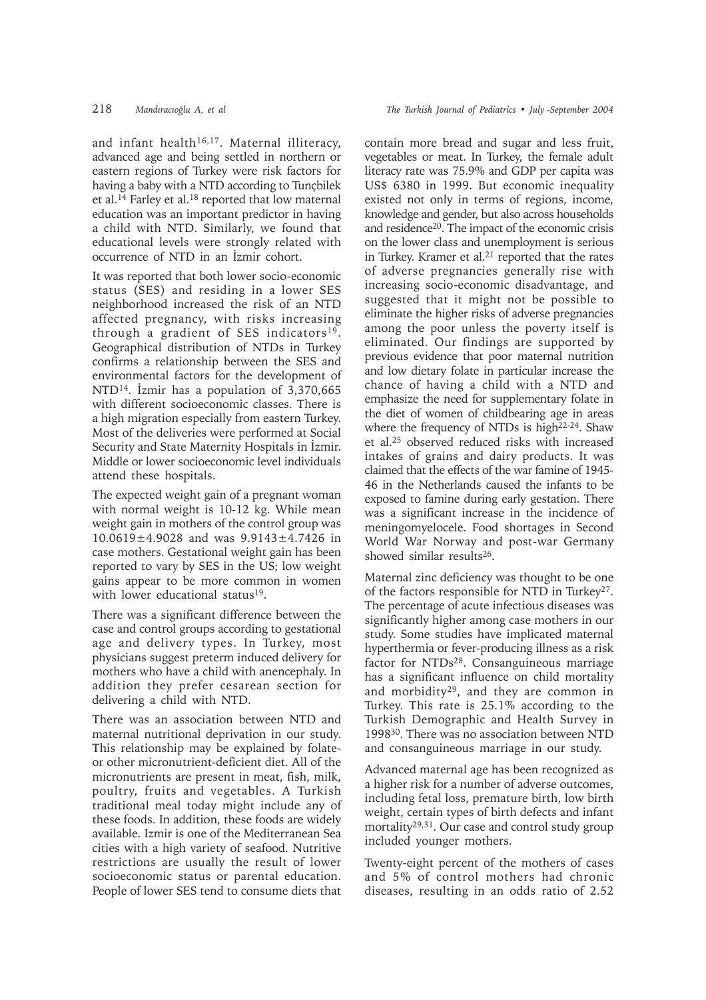and infant health<sup>16,17</sup>. Maternal illiteracy, advanced age and being settled in northern or eastern regions of Turkey were risk factors for having a baby with a NTD according to Tunçbilek et al.<sup>14</sup> Farley et al.<sup>18</sup> reported that low maternal education was an important predictor in having a child with NTD. Similarly, we found that educational levels were strongly related with occurrence of NTD in an Izmir cohort.

It was reported that both lower socio-economic status (SES) and residing in a lower SES neighborhood increased the risk of an NTD affected pregnancy, with risks increasing through a gradient of SES indicators<sup>19</sup>. Geographical distribution of NTDs in Turkey confirms a relationship between the SES and environmental factors for the development of NTD<sup>14</sup>. İzmir has a population of  $3,370,665$ with different socioeconomic classes. There is a high migration especially from eastern Turkey. Most of the deliveries were performed at Social Security and State Maternity Hospitals in İzmir. Middle or lower socioeconomic level individuals attend these hospitals.

The expected weight gain of a pregnant woman with normal weight is 10-12 kg. While mean weight gain in mothers of the control group was 10.0619±4.9028 and was 9.9143±4.7426 in case mothers. Gestational weight gain has been reported to vary by SES in the US; low weight gains appear to be more common in women with lower educational status<sup>19</sup>.

There was a significant difference between the case and control groups according to gestational age and delivery types. In Turkey, most physicians suggest preterm induced delivery for mothers who have a child with anencephaly. In addition they prefer cesarean section for delivering a child with NTD.

There was an association between NTD and maternal nutritional deprivation in our study. This relationship may be explained by folateor other micronutrient-deficient diet. All of the micronutrients are present in meat, fish, milk, poultry, fruits and vegetables. A Turkish traditional meal today might include any of these foods. In addition, these foods are widely available. Izmir is one of the Mediterranean Sea cities with a high variety of seafood. Nutritive restrictions are usually the result of lower socioeconomic status or parental education. People of lower SES tend to consume diets that

contain more bread and sugar and less fruit, vegetables or meat. In Turkey, the female adult literacy rate was 75.9% and GDP per capita was US\$ 6380 in 1999. But economic inequality existed not only in terms of regions, income, knowledge and gender, but also across households and residence20. The impact of the economic crisis on the lower class and unemployment is serious in Turkey. Kramer et al. $21$  reported that the rates of adverse pregnancies generally rise with increasing socio-economic disadvantage, and suggested that it might not be possible to eliminate the higher risks of adverse pregnancies among the poor unless the poverty itself is eliminated. Our findings are supported by previous evidence that poor maternal nutrition and low dietary folate in particular increase the chance of having a child with a NTD and emphasize the need for supplementary folate in the diet of women of childbearing age in areas where the frequency of NTDs is high $22-24$ . Shaw et al.25 observed reduced risks with increased intakes of grains and dairy products. It was claimed that the effects of the war famine of 1945- 46 in the Netherlands caused the infants to be exposed to famine during early gestation. There was a significant increase in the incidence of meningomyelocele. Food shortages in Second World War Norway and post-war Germany showed similar results26.

Maternal zinc deficiency was thought to be one of the factors responsible for NTD in Turkey27. The percentage of acute infectious diseases was significantly higher among case mothers in our study. Some studies have implicated maternal hyperthermia or fever-producing illness as a risk factor for NTDs<sup>28</sup>. Consanguineous marriage has a significant influence on child mortality and morbidity29, and they are common in Turkey. This rate is 25.1% according to the Turkish Demographic and Health Survey in 199830. There was no association between NTD and consanguineous marriage in our study.

Advanced maternal age has been recognized as a higher risk for a number of adverse outcomes, including fetal loss, premature birth, low birth weight, certain types of birth defects and infant mortality<sup>29,31</sup>. Our case and control study group included younger mothers.

Twenty-eight percent of the mothers of cases and 5% of control mothers had chronic diseases, resulting in an odds ratio of 2.52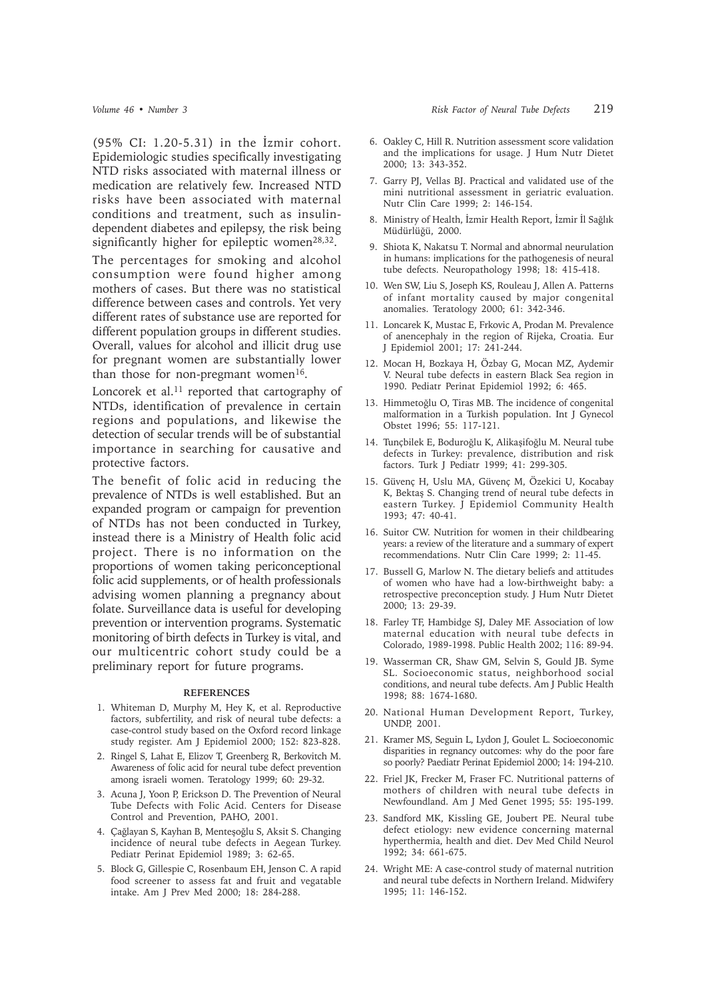$(95\% \text{ CI: } 1.20 - 5.31)$  in the İzmir cohort. Epidemiologic studies specifically investigating NTD risks associated with maternal illness or medication are relatively few. Increased NTD risks have been associated with maternal conditions and treatment, such as insulindependent diabetes and epilepsy, the risk being significantly higher for epileptic women<sup>28,32</sup>.

The percentages for smoking and alcohol consumption were found higher among mothers of cases. But there was no statistical difference between cases and controls. Yet very different rates of substance use are reported for different population groups in different studies. Overall, values for alcohol and illicit drug use for pregnant women are substantially lower than those for non-pregmant women $16$ .

Loncorek et al.<sup>11</sup> reported that cartography of NTDs, identification of prevalence in certain regions and populations, and likewise the detection of secular trends will be of substantial importance in searching for causative and protective factors.

The benefit of folic acid in reducing the prevalence of NTDs is well established. But an expanded program or campaign for prevention of NTDs has not been conducted in Turkey, instead there is a Ministry of Health folic acid project. There is no information on the proportions of women taking periconceptional folic acid supplements, or of health professionals advising women planning a pregnancy about folate. Surveillance data is useful for developing prevention or intervention programs. Systematic monitoring of birth defects in Turkey is vital, and our multicentric cohort study could be a preliminary report for future programs.

### **REFERENCES**

- 1. Whiteman D, Murphy M, Hey K, et al. Reproductive factors, subfertility, and risk of neural tube defects: a case-control study based on the Oxford record linkage study register. Am J Epidemiol 2000; 152: 823-828.
- 2. Ringel S, Lahat E, Elizov T, Greenberg R, Berkovitch M. Awareness of folic acid for neural tube defect prevention among israeli women. Teratology 1999; 60: 29-32.
- 3. Acuna J, Yoon P, Erickson D. The Prevention of Neural Tube Defects with Folic Acid. Centers for Disease Control and Prevention, PAHO, 2001.
- 4. Çağlayan S, Kayhan B, Menteşoğlu S, Aksit S. Changing incidence of neural tube defects in Aegean Turkey. Pediatr Perinat Epidemiol 1989; 3: 62-65.
- 5. Block G, Gillespie C, Rosenbaum EH, Jenson C. A rapid food screener to assess fat and fruit and vegatable intake. Am J Prev Med 2000; 18: 284-288.
- 6. Oakley C, Hill R. Nutrition assessment score validation and the implications for usage. J Hum Nutr Dietet 2000; 13: 343-352.
- 7. Garry PJ, Vellas BJ. Practical and validated use of the mini nutritional assessment in geriatric evaluation. Nutr Clin Care 1999; 2: 146-154.
- 8. Ministry of Health, İzmir Health Report, İzmir İl Sağlık Müdürlüğü, 2000.
- 9. Shiota K, Nakatsu T. Normal and abnormal neurulation in humans: implications for the pathogenesis of neural tube defects. Neuropathology 1998; 18: 415-418.
- 10. Wen SW, Liu S, Joseph KS, Rouleau J, Allen A. Patterns of infant mortality caused by major congenital anomalies. Teratology 2000; 61: 342-346.
- 11. Loncarek K, Mustac E, Frkovic A, Prodan M. Prevalence of anencephaly in the region of Rijeka, Croatia. Eur J Epidemiol 2001; 17: 241-244.
- 12. Mocan H, Bozkaya H, Özbay G, Mocan MZ, Aydemir V. Neural tube defects in eastern Black Sea region in 1990. Pediatr Perinat Epidemiol 1992; 6: 465.
- 13. Himmetoğlu O, Tiras MB. The incidence of congenital malformation in a Turkish population. Int J Gynecol Obstet 1996; 55: 117-121.
- 14. Tunçbilek E, Boduroğlu K, Alikaşifoğlu M. Neural tube defects in Turkey: prevalence, distribution and risk factors. Turk J Pediatr 1999; 41: 299-305.
- 15. Güvenç H, Uslu MA, Güvenç M, Özekici U, Kocabay K, Bektaş S. Changing trend of neural tube defects in eastern Turkey. J Epidemiol Community Health 1993; 47: 40-41.
- 16. Suitor CW. Nutrition for women in their childbearing years: a review of the literature and a summary of expert recommendations. Nutr Clin Care 1999; 2: 11-45.
- 17. Bussell G, Marlow N. The dietary beliefs and attitudes of women who have had a low-birthweight baby: a retrospective preconception study. J Hum Nutr Dietet 2000; 13: 29-39.
- 18. Farley TF, Hambidge SJ, Daley MF. Association of low maternal education with neural tube defects in Colorado, 1989-1998. Public Health 2002; 116: 89-94.
- 19. Wasserman CR, Shaw GM, Selvin S, Gould JB. Syme SL. Socioeconomic status, neighborhood social conditions, and neural tube defects. Am J Public Health 1998; 88: 1674-1680.
- 20. National Human Development Report, Turkey, UNDP, 2001.
- 21. Kramer MS, Seguin L, Lydon J, Goulet L. Socioeconomic disparities in regnancy outcomes: why do the poor fare so poorly? Paediatr Perinat Epidemiol 2000; 14: 194-210.
- 22. Friel JK, Frecker M, Fraser FC. Nutritional patterns of mothers of children with neural tube defects in Newfoundland. Am J Med Genet 1995; 55: 195-199.
- 23. Sandford MK, Kissling GE, Joubert PE. Neural tube defect etiology: new evidence concerning maternal hyperthermia, health and diet. Dev Med Child Neurol 1992; 34: 661-675.
- 24. Wright ME: A case-control study of maternal nutrition and neural tube defects in Northern Ireland. Midwifery 1995; 11: 146-152.